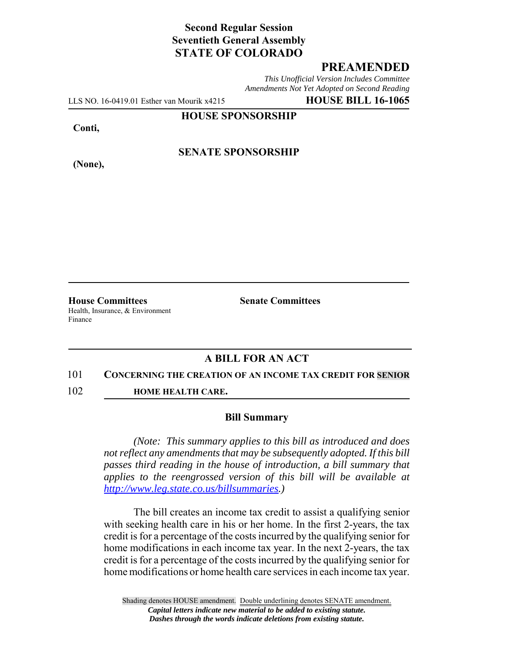# **Second Regular Session Seventieth General Assembly STATE OF COLORADO**

## **PREAMENDED**

*This Unofficial Version Includes Committee Amendments Not Yet Adopted on Second Reading*

LLS NO. 16-0419.01 Esther van Mourik x4215 **HOUSE BILL 16-1065**

**HOUSE SPONSORSHIP**

**Conti,**

**(None),**

**SENATE SPONSORSHIP**

**House Committees Senate Committees** Health, Insurance, & Environment Finance

### **A BILL FOR AN ACT**

#### 101 **CONCERNING THE CREATION OF AN INCOME TAX CREDIT FOR SENIOR**

102 **HOME HEALTH CARE.**

#### **Bill Summary**

*(Note: This summary applies to this bill as introduced and does not reflect any amendments that may be subsequently adopted. If this bill passes third reading in the house of introduction, a bill summary that applies to the reengrossed version of this bill will be available at http://www.leg.state.co.us/billsummaries.)*

The bill creates an income tax credit to assist a qualifying senior with seeking health care in his or her home. In the first 2-years, the tax credit is for a percentage of the costs incurred by the qualifying senior for home modifications in each income tax year. In the next 2-years, the tax credit is for a percentage of the costs incurred by the qualifying senior for home modifications or home health care services in each income tax year.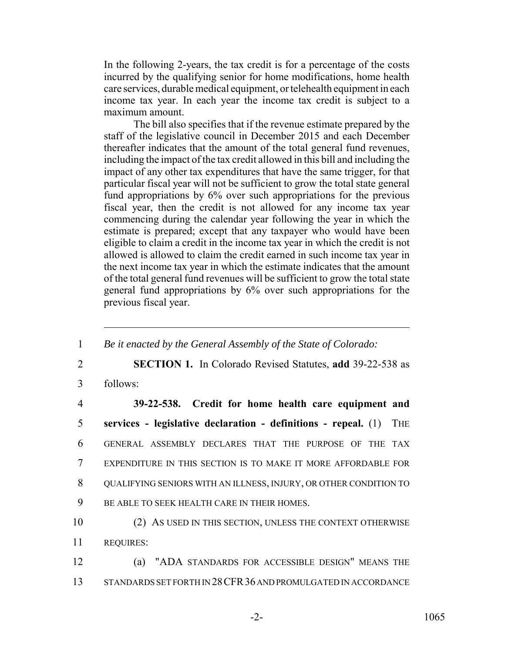In the following 2-years, the tax credit is for a percentage of the costs incurred by the qualifying senior for home modifications, home health care services, durable medical equipment, or telehealth equipment in each income tax year. In each year the income tax credit is subject to a maximum amount.

The bill also specifies that if the revenue estimate prepared by the staff of the legislative council in December 2015 and each December thereafter indicates that the amount of the total general fund revenues, including the impact of the tax credit allowed in this bill and including the impact of any other tax expenditures that have the same trigger, for that particular fiscal year will not be sufficient to grow the total state general fund appropriations by 6% over such appropriations for the previous fiscal year, then the credit is not allowed for any income tax year commencing during the calendar year following the year in which the estimate is prepared; except that any taxpayer who would have been eligible to claim a credit in the income tax year in which the credit is not allowed is allowed to claim the credit earned in such income tax year in the next income tax year in which the estimate indicates that the amount of the total general fund revenues will be sufficient to grow the total state general fund appropriations by 6% over such appropriations for the previous fiscal year.

| 1              | Be it enacted by the General Assembly of the State of Colorado:                |
|----------------|--------------------------------------------------------------------------------|
| $\overline{2}$ | <b>SECTION 1.</b> In Colorado Revised Statutes, add 39-22-538 as               |
| 3              | follows:                                                                       |
| $\overline{4}$ | 39-22-538. Credit for home health care equipment and                           |
| 5              | services - legislative declaration - definitions - repeal. $(1)$<br><b>THE</b> |
| 6              | GENERAL ASSEMBLY DECLARES THAT THE PURPOSE OF THE TAX                          |
| $\overline{7}$ | EXPENDITURE IN THIS SECTION IS TO MAKE IT MORE AFFORDABLE FOR                  |
| 8              | QUALIFYING SENIORS WITH AN ILLNESS, INJURY, OR OTHER CONDITION TO              |
| 9              | BE ABLE TO SEEK HEALTH CARE IN THEIR HOMES.                                    |
| 10             | (2) AS USED IN THIS SECTION, UNLESS THE CONTEXT OTHERWISE                      |
| 11             | <b>REQUIRES:</b>                                                               |
| 12             | (a) "ADA STANDARDS FOR ACCESSIBLE DESIGN" MEANS THE                            |
| 13             | STANDARDS SET FORTH IN 28 CFR 36 AND PROMULGATED IN ACCORDANCE                 |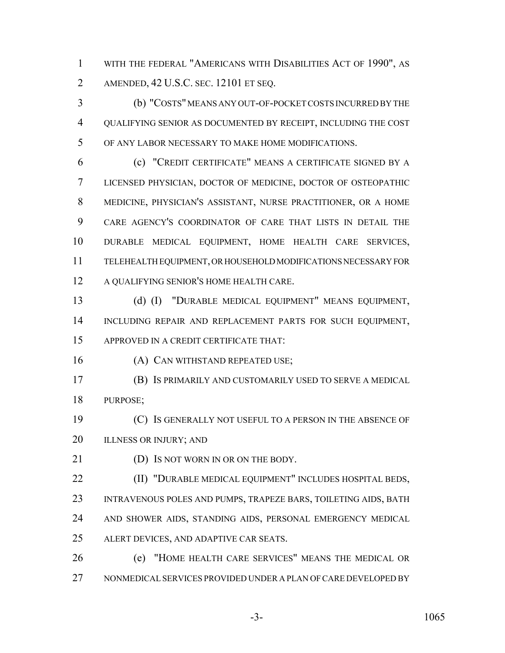WITH THE FEDERAL "AMERICANS WITH DISABILITIES ACT OF 1990", AS AMENDED, 42 U.S.C. SEC. 12101 ET SEQ.

 (b) "COSTS" MEANS ANY OUT-OF-POCKET COSTS INCURRED BY THE QUALIFYING SENIOR AS DOCUMENTED BY RECEIPT, INCLUDING THE COST OF ANY LABOR NECESSARY TO MAKE HOME MODIFICATIONS.

 (c) "CREDIT CERTIFICATE" MEANS A CERTIFICATE SIGNED BY A LICENSED PHYSICIAN, DOCTOR OF MEDICINE, DOCTOR OF OSTEOPATHIC MEDICINE, PHYSICIAN'S ASSISTANT, NURSE PRACTITIONER, OR A HOME CARE AGENCY'S COORDINATOR OF CARE THAT LISTS IN DETAIL THE DURABLE MEDICAL EQUIPMENT, HOME HEALTH CARE SERVICES, TELEHEALTH EQUIPMENT, OR HOUSEHOLD MODIFICATIONS NECESSARY FOR A QUALIFYING SENIOR'S HOME HEALTH CARE.

 (d) (I) "DURABLE MEDICAL EQUIPMENT" MEANS EQUIPMENT, INCLUDING REPAIR AND REPLACEMENT PARTS FOR SUCH EQUIPMENT, APPROVED IN A CREDIT CERTIFICATE THAT:

16 (A) CAN WITHSTAND REPEATED USE;

 (B) IS PRIMARILY AND CUSTOMARILY USED TO SERVE A MEDICAL PURPOSE;

 (C) IS GENERALLY NOT USEFUL TO A PERSON IN THE ABSENCE OF 20 ILLNESS OR INJURY; AND

21 (D) Is not worn in or on the body.

 (II) "DURABLE MEDICAL EQUIPMENT" INCLUDES HOSPITAL BEDS, INTRAVENOUS POLES AND PUMPS, TRAPEZE BARS, TOILETING AIDS, BATH AND SHOWER AIDS, STANDING AIDS, PERSONAL EMERGENCY MEDICAL ALERT DEVICES, AND ADAPTIVE CAR SEATS.

 (e) "HOME HEALTH CARE SERVICES" MEANS THE MEDICAL OR NONMEDICAL SERVICES PROVIDED UNDER A PLAN OF CARE DEVELOPED BY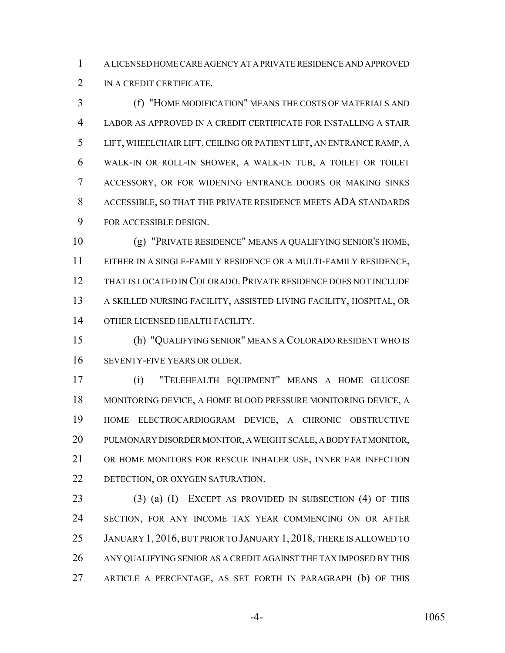A LICENSED HOME CARE AGENCY AT A PRIVATE RESIDENCE AND APPROVED IN A CREDIT CERTIFICATE.

 (f) "HOME MODIFICATION" MEANS THE COSTS OF MATERIALS AND LABOR AS APPROVED IN A CREDIT CERTIFICATE FOR INSTALLING A STAIR LIFT, WHEELCHAIR LIFT, CEILING OR PATIENT LIFT, AN ENTRANCE RAMP, A WALK-IN OR ROLL-IN SHOWER, A WALK-IN TUB, A TOILET OR TOILET ACCESSORY, OR FOR WIDENING ENTRANCE DOORS OR MAKING SINKS ACCESSIBLE, SO THAT THE PRIVATE RESIDENCE MEETS ADA STANDARDS FOR ACCESSIBLE DESIGN.

 (g) "PRIVATE RESIDENCE" MEANS A QUALIFYING SENIOR'S HOME, EITHER IN A SINGLE-FAMILY RESIDENCE OR A MULTI-FAMILY RESIDENCE, THAT IS LOCATED IN COLORADO. PRIVATE RESIDENCE DOES NOT INCLUDE A SKILLED NURSING FACILITY, ASSISTED LIVING FACILITY, HOSPITAL, OR OTHER LICENSED HEALTH FACILITY.

 (h) "QUALIFYING SENIOR" MEANS A COLORADO RESIDENT WHO IS SEVENTY-FIVE YEARS OR OLDER.

 (i) "TELEHEALTH EQUIPMENT" MEANS A HOME GLUCOSE MONITORING DEVICE, A HOME BLOOD PRESSURE MONITORING DEVICE, A HOME ELECTROCARDIOGRAM DEVICE, A CHRONIC OBSTRUCTIVE PULMONARY DISORDER MONITOR, A WEIGHT SCALE, A BODY FAT MONITOR, OR HOME MONITORS FOR RESCUE INHALER USE, INNER EAR INFECTION DETECTION, OR OXYGEN SATURATION.

 (3) (a) (I) EXCEPT AS PROVIDED IN SUBSECTION (4) OF THIS SECTION, FOR ANY INCOME TAX YEAR COMMENCING ON OR AFTER 25 JANUARY 1, 2016, BUT PRIOR TO JANUARY 1, 2018, THERE IS ALLOWED TO ANY QUALIFYING SENIOR AS A CREDIT AGAINST THE TAX IMPOSED BY THIS ARTICLE A PERCENTAGE, AS SET FORTH IN PARAGRAPH (b) OF THIS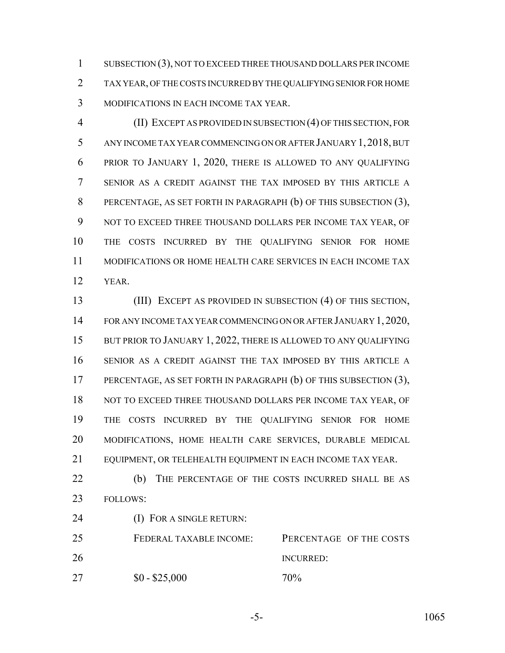SUBSECTION (3), NOT TO EXCEED THREE THOUSAND DOLLARS PER INCOME TAX YEAR, OF THE COSTS INCURRED BY THE QUALIFYING SENIOR FOR HOME MODIFICATIONS IN EACH INCOME TAX YEAR.

 (II) EXCEPT AS PROVIDED IN SUBSECTION (4) OF THIS SECTION, FOR ANY INCOME TAX YEAR COMMENCING ON OR AFTER JANUARY 1,2018, BUT PRIOR TO JANUARY 1, 2020, THERE IS ALLOWED TO ANY QUALIFYING SENIOR AS A CREDIT AGAINST THE TAX IMPOSED BY THIS ARTICLE A PERCENTAGE, AS SET FORTH IN PARAGRAPH (b) OF THIS SUBSECTION (3), NOT TO EXCEED THREE THOUSAND DOLLARS PER INCOME TAX YEAR, OF THE COSTS INCURRED BY THE QUALIFYING SENIOR FOR HOME MODIFICATIONS OR HOME HEALTH CARE SERVICES IN EACH INCOME TAX YEAR.

 (III) EXCEPT AS PROVIDED IN SUBSECTION (4) OF THIS SECTION, FOR ANY INCOME TAX YEAR COMMENCING ON OR AFTER JANUARY 1, 2020, 15 BUT PRIOR TO JANUARY 1, 2022, THERE IS ALLOWED TO ANY QUALIFYING SENIOR AS A CREDIT AGAINST THE TAX IMPOSED BY THIS ARTICLE A PERCENTAGE, AS SET FORTH IN PARAGRAPH (b) OF THIS SUBSECTION (3), 18 NOT TO EXCEED THREE THOUSAND DOLLARS PER INCOME TAX YEAR, OF THE COSTS INCURRED BY THE QUALIFYING SENIOR FOR HOME MODIFICATIONS, HOME HEALTH CARE SERVICES, DURABLE MEDICAL EQUIPMENT, OR TELEHEALTH EQUIPMENT IN EACH INCOME TAX YEAR.

22 (b) THE PERCENTAGE OF THE COSTS INCURRED SHALL BE AS FOLLOWS:

(I) FOR A SINGLE RETURN:

 FEDERAL TAXABLE INCOME: PERCENTAGE OF THE COSTS INCURRED: 27  $$0 - $25,000$  70%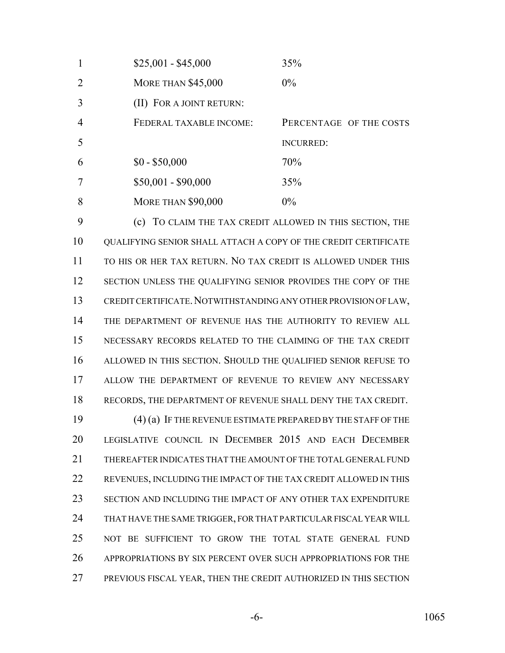| $\mathbf{1}$   | $$25,001 - $45,000$       | 35%                     |
|----------------|---------------------------|-------------------------|
| 2              | <b>MORE THAN \$45,000</b> | $0\%$                   |
| 3              | (II) FOR A JOINT RETURN:  |                         |
| $\overline{4}$ | FEDERAL TAXABLE INCOME:   | PERCENTAGE OF THE COSTS |
| 5              |                           | <b>INCURRED:</b>        |
| 6              | $$0 - $50,000$            | 70%                     |
| $\overline{7}$ | $$50,001 - $90,000$       | 35%                     |
| 8              | <b>MORE THAN \$90,000</b> | $0\%$                   |

 (c) TO CLAIM THE TAX CREDIT ALLOWED IN THIS SECTION, THE QUALIFYING SENIOR SHALL ATTACH A COPY OF THE CREDIT CERTIFICATE TO HIS OR HER TAX RETURN. NO TAX CREDIT IS ALLOWED UNDER THIS 12 SECTION UNLESS THE QUALIFYING SENIOR PROVIDES THE COPY OF THE CREDIT CERTIFICATE.NOTWITHSTANDING ANY OTHER PROVISION OF LAW, THE DEPARTMENT OF REVENUE HAS THE AUTHORITY TO REVIEW ALL NECESSARY RECORDS RELATED TO THE CLAIMING OF THE TAX CREDIT ALLOWED IN THIS SECTION. SHOULD THE QUALIFIED SENIOR REFUSE TO ALLOW THE DEPARTMENT OF REVENUE TO REVIEW ANY NECESSARY RECORDS, THE DEPARTMENT OF REVENUE SHALL DENY THE TAX CREDIT.

 (4) (a) IF THE REVENUE ESTIMATE PREPARED BY THE STAFF OF THE LEGISLATIVE COUNCIL IN DECEMBER 2015 AND EACH DECEMBER THEREAFTER INDICATES THAT THE AMOUNT OF THE TOTAL GENERAL FUND REVENUES, INCLUDING THE IMPACT OF THE TAX CREDIT ALLOWED IN THIS SECTION AND INCLUDING THE IMPACT OF ANY OTHER TAX EXPENDITURE THAT HAVE THE SAME TRIGGER, FOR THAT PARTICULAR FISCAL YEAR WILL NOT BE SUFFICIENT TO GROW THE TOTAL STATE GENERAL FUND APPROPRIATIONS BY SIX PERCENT OVER SUCH APPROPRIATIONS FOR THE PREVIOUS FISCAL YEAR, THEN THE CREDIT AUTHORIZED IN THIS SECTION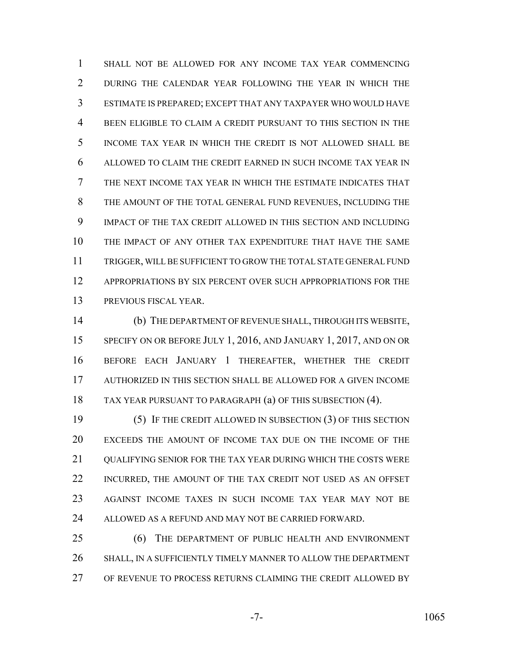SHALL NOT BE ALLOWED FOR ANY INCOME TAX YEAR COMMENCING DURING THE CALENDAR YEAR FOLLOWING THE YEAR IN WHICH THE ESTIMATE IS PREPARED; EXCEPT THAT ANY TAXPAYER WHO WOULD HAVE BEEN ELIGIBLE TO CLAIM A CREDIT PURSUANT TO THIS SECTION IN THE INCOME TAX YEAR IN WHICH THE CREDIT IS NOT ALLOWED SHALL BE ALLOWED TO CLAIM THE CREDIT EARNED IN SUCH INCOME TAX YEAR IN THE NEXT INCOME TAX YEAR IN WHICH THE ESTIMATE INDICATES THAT THE AMOUNT OF THE TOTAL GENERAL FUND REVENUES, INCLUDING THE IMPACT OF THE TAX CREDIT ALLOWED IN THIS SECTION AND INCLUDING THE IMPACT OF ANY OTHER TAX EXPENDITURE THAT HAVE THE SAME TRIGGER, WILL BE SUFFICIENT TO GROW THE TOTAL STATE GENERAL FUND APPROPRIATIONS BY SIX PERCENT OVER SUCH APPROPRIATIONS FOR THE PREVIOUS FISCAL YEAR.

 (b) THE DEPARTMENT OF REVENUE SHALL, THROUGH ITS WEBSITE, 15 SPECIFY ON OR BEFORE JULY 1, 2016, AND JANUARY 1, 2017, AND ON OR BEFORE EACH JANUARY 1 THEREAFTER, WHETHER THE CREDIT AUTHORIZED IN THIS SECTION SHALL BE ALLOWED FOR A GIVEN INCOME TAX YEAR PURSUANT TO PARAGRAPH (a) OF THIS SUBSECTION (4).

 (5) IF THE CREDIT ALLOWED IN SUBSECTION (3) OF THIS SECTION EXCEEDS THE AMOUNT OF INCOME TAX DUE ON THE INCOME OF THE 21 OUALIFYING SENIOR FOR THE TAX YEAR DURING WHICH THE COSTS WERE INCURRED, THE AMOUNT OF THE TAX CREDIT NOT USED AS AN OFFSET AGAINST INCOME TAXES IN SUCH INCOME TAX YEAR MAY NOT BE 24 ALLOWED AS A REFUND AND MAY NOT BE CARRIED FORWARD.

 (6) THE DEPARTMENT OF PUBLIC HEALTH AND ENVIRONMENT SHALL, IN A SUFFICIENTLY TIMELY MANNER TO ALLOW THE DEPARTMENT OF REVENUE TO PROCESS RETURNS CLAIMING THE CREDIT ALLOWED BY